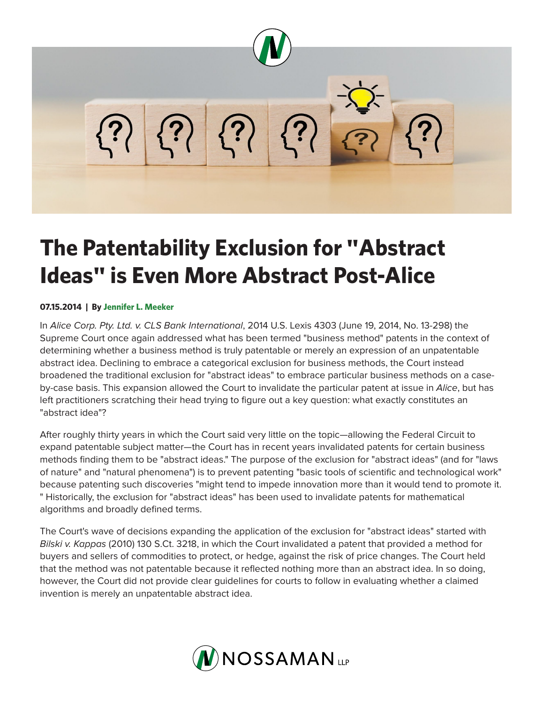

## **The Patentability Exclusion for "Abstract Ideas" is Even More Abstract Post-Alice**

## **07.15.2014 | By Jennifer L. Meeker**

In *Alice Corp. Pty. Ltd. v. CLS Bank International*, 2014 U.S. Lexis 4303 (June 19, 2014, No. 13-298) the Supreme Court once again addressed what has been termed "business method" patents in the context of determining whether a business method is truly patentable or merely an expression of an unpatentable abstract idea. Declining to embrace a categorical exclusion for business methods, the Court instead broadened the traditional exclusion for "abstract ideas" to embrace particular business methods on a caseby-case basis. This expansion allowed the Court to invalidate the particular patent at issue in *Alice*, but has left practitioners scratching their head trying to figure out a key question: what exactly constitutes an "abstract idea"?

After roughly thirty years in which the Court said very little on the topic—allowing the Federal Circuit to expand patentable subject matter—the Court has in recent years invalidated patents for certain business methods finding them to be "abstract ideas." The purpose of the exclusion for "abstract ideas" (and for "laws of nature" and "natural phenomena") is to prevent patenting "basic tools of scientific and technological work" because patenting such discoveries "might tend to impede innovation more than it would tend to promote it. " Historically, the exclusion for "abstract ideas" has been used to invalidate patents for mathematical algorithms and broadly defined terms.

The Court's wave of decisions expanding the application of the exclusion for "abstract ideas" started with *Bilski v. Kappas* (2010) 130 S.Ct. 3218, in which the Court invalidated a patent that provided a method for buyers and sellers of commodities to protect, or hedge, against the risk of price changes. The Court held that the method was not patentable because it reflected nothing more than an abstract idea. In so doing, however, the Court did not provide clear guidelines for courts to follow in evaluating whether a claimed invention is merely an unpatentable abstract idea.